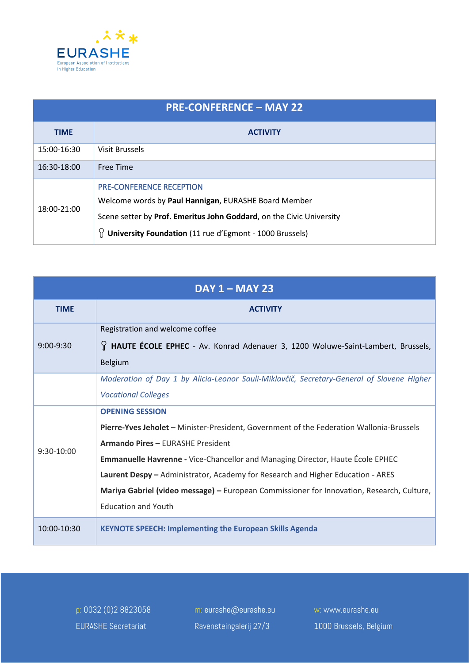

| <b>PRE-CONFERENCE - MAY 22</b> |                                                                                                                                                                                                                                     |  |  |
|--------------------------------|-------------------------------------------------------------------------------------------------------------------------------------------------------------------------------------------------------------------------------------|--|--|
| <b>TIME</b>                    | <b>ACTIVITY</b>                                                                                                                                                                                                                     |  |  |
| 15:00-16:30                    | <b>Visit Brussels</b>                                                                                                                                                                                                               |  |  |
| 16:30-18:00                    | Free Time                                                                                                                                                                                                                           |  |  |
| 18:00-21:00                    | <b>PRE-CONFERENCE RECEPTION</b><br>Welcome words by Paul Hannigan, EURASHE Board Member<br>Scene setter by Prof. Emeritus John Goddard, on the Civic University<br>$\gamma$ University Foundation (11 rue d'Egmont - 1000 Brussels) |  |  |

|               | <b>DAY 1 - MAY 23</b>                                                                     |
|---------------|-------------------------------------------------------------------------------------------|
| <b>TIME</b>   | <b>ACTIVITY</b>                                                                           |
|               | Registration and welcome coffee                                                           |
| $9:00 - 9:30$ | P HAUTE ÉCOLE EPHEC - Av. Konrad Adenauer 3, 1200 Woluwe-Saint-Lambert, Brussels,         |
|               | Belgium                                                                                   |
|               | Moderation of Day 1 by Alicia-Leonor Sauli-Miklavčič, Secretary-General of Slovene Higher |
|               | <b>Vocational Colleges</b>                                                                |
|               | <b>OPENING SESSION</b>                                                                    |
|               | Pierre-Yves Jeholet - Minister-President, Government of the Federation Wallonia-Brussels  |
| 9:30-10:00    | Armando Pires - EURASHE President                                                         |
|               | Emmanuelle Havrenne - Vice-Chancellor and Managing Director, Haute École EPHEC            |
|               | Laurent Despy - Administrator, Academy for Research and Higher Education - ARES           |
|               | Mariya Gabriel (video message) - European Commissioner for Innovation, Research, Culture, |
|               | <b>Education and Youth</b>                                                                |
| 10:00-10:30   | <b>KEYNOTE SPEECH: Implementing the European Skills Agenda</b>                            |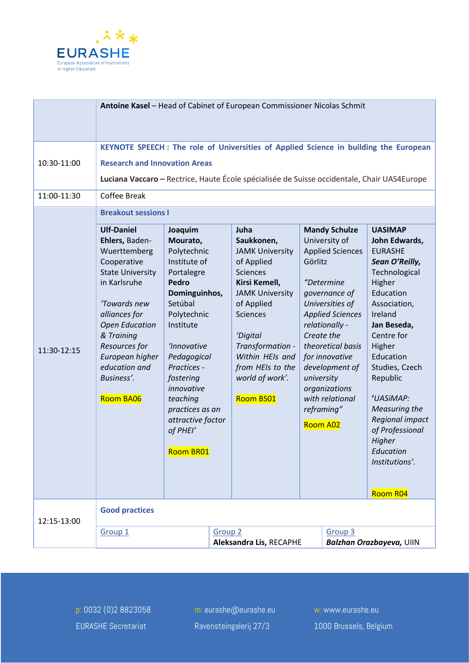

|             | Antoine Kasel - Head of Cabinet of European Commissioner Nicolas Schmit                                                                                                                                                                                               |                                                                                                                                                                                                                                                                                        |                    |                                                                                                                                                                                                                                                                  |         |                                                                                                                                                                                                                                                                                                                    |                                                                                                                                                                                                                                                                                                                                                                 |
|-------------|-----------------------------------------------------------------------------------------------------------------------------------------------------------------------------------------------------------------------------------------------------------------------|----------------------------------------------------------------------------------------------------------------------------------------------------------------------------------------------------------------------------------------------------------------------------------------|--------------------|------------------------------------------------------------------------------------------------------------------------------------------------------------------------------------------------------------------------------------------------------------------|---------|--------------------------------------------------------------------------------------------------------------------------------------------------------------------------------------------------------------------------------------------------------------------------------------------------------------------|-----------------------------------------------------------------------------------------------------------------------------------------------------------------------------------------------------------------------------------------------------------------------------------------------------------------------------------------------------------------|
| 10:30-11:00 |                                                                                                                                                                                                                                                                       | KEYNOTE SPEECH : The role of Universities of Applied Science in building the European<br><b>Research and Innovation Areas</b><br>Luciana Vaccaro – Rectrice, Haute École spécialisée de Suisse occidentale, Chair UAS4Europe                                                           |                    |                                                                                                                                                                                                                                                                  |         |                                                                                                                                                                                                                                                                                                                    |                                                                                                                                                                                                                                                                                                                                                                 |
| 11:00-11:30 | <b>Coffee Break</b>                                                                                                                                                                                                                                                   |                                                                                                                                                                                                                                                                                        |                    |                                                                                                                                                                                                                                                                  |         |                                                                                                                                                                                                                                                                                                                    |                                                                                                                                                                                                                                                                                                                                                                 |
|             | <b>Breakout sessions I</b>                                                                                                                                                                                                                                            |                                                                                                                                                                                                                                                                                        |                    |                                                                                                                                                                                                                                                                  |         |                                                                                                                                                                                                                                                                                                                    |                                                                                                                                                                                                                                                                                                                                                                 |
| 11:30-12:15 | <b>Ulf-Daniel</b><br>Ehlers, Baden-<br>Wuerttemberg<br>Cooperative<br><b>State University</b><br>in Karlsruhe<br>'Towards new<br>alliances for<br><b>Open Education</b><br>& Training<br>Resources for<br>European higher<br>education and<br>Business'.<br>Room BA06 | Joaquim<br>Mourato,<br>Polytechnic<br>Institute of<br>Portalegre<br>Pedro<br>Dominguinhos,<br>Setúbal<br>Polytechnic<br>Institute<br>'Innovative<br>Pedagogical<br>Practices -<br>fostering<br>innovative<br>teaching<br>practices as an<br>attractive factor<br>of PHEI'<br>Room BR01 |                    | Juha<br>Saukkonen,<br><b>JAMK University</b><br>of Applied<br><b>Sciences</b><br>Kirsi Kemell,<br><b>JAMK University</b><br>of Applied<br><b>Sciences</b><br>'Digital<br>Transformation -<br>Within HEIs and<br>from HEIs to the<br>world of work'.<br>Room BS01 | Görlitz | <b>Mandy Schulze</b><br>University of<br><b>Applied Sciences</b><br>"Determine<br>governance of<br>Universities of<br><b>Applied Sciences</b><br>relationally -<br>Create the<br>theoretical basis<br>for innovative<br>development of<br>university<br>organizations<br>with relational<br>reframing"<br>Room A02 | <b>UASIMAP</b><br>John Edwards,<br><b>EURASHE</b><br>Sean O'Reilly,<br>Technological<br>Higher<br>Education<br>Association,<br>Ireland<br>Jan Beseda,<br>Centre for<br>Higher<br>Education<br>Studies, Czech<br>Republic<br>'UASiMAP:<br><b>Measuring the</b><br>Regional impact<br>of Professional<br>Higher<br><b>Fducation</b><br>Institutions'.<br>Room R04 |
|             | <b>Good practices</b>                                                                                                                                                                                                                                                 |                                                                                                                                                                                                                                                                                        |                    |                                                                                                                                                                                                                                                                  |         |                                                                                                                                                                                                                                                                                                                    |                                                                                                                                                                                                                                                                                                                                                                 |
| 12:15-13:00 |                                                                                                                                                                                                                                                                       |                                                                                                                                                                                                                                                                                        |                    |                                                                                                                                                                                                                                                                  |         |                                                                                                                                                                                                                                                                                                                    |                                                                                                                                                                                                                                                                                                                                                                 |
|             | Group 1                                                                                                                                                                                                                                                               |                                                                                                                                                                                                                                                                                        | Group <sub>2</sub> | Aleksandra Lis, RECAPHE                                                                                                                                                                                                                                          |         | Group <sub>3</sub>                                                                                                                                                                                                                                                                                                 | Balzhan Orazbayeva, UIIN                                                                                                                                                                                                                                                                                                                                        |

p: 0032 (0)2 8823058 EURASHE Secretariat

m: eurashe@eurashe.eu Ravensteingalerij 27/3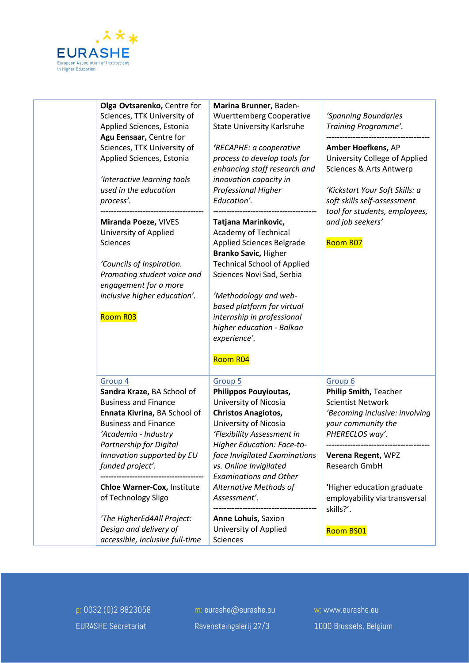

| Room R04<br>Group 5<br>Group <sub>4</sub><br>Group 6<br>Sandra Kraze, BA School of<br>Philippos Pouyioutas,<br>Philip Smith, Teacher<br><b>Business and Finance</b><br>University of Nicosia<br><b>Scientist Network</b><br><b>Christos Anagiotos,</b><br>Ennata Kivrina, BA School of<br><b>Business and Finance</b><br>University of Nicosia<br>your community the<br>PHERECLOS way'.<br>'Academia - Industry<br>'Flexibility Assessment in                             | Olga Ovtsarenko, Centre for<br>Sciences, TTK University of<br>Applied Sciences, Estonia<br>Agu Eensaar, Centre for<br>Sciences, TTK University of<br>Applied Sciences, Estonia<br>'Interactive learning tools<br>used in the education<br>process'.<br>Miranda Poeze, VIVES<br>University of Applied<br><b>Sciences</b><br>'Councils of Inspiration.<br>Promoting student voice and<br>engagement for a more<br>inclusive higher education'.<br>Room R03 | Marina Brunner, Baden-<br><b>Wuerttemberg Cooperative</b><br><b>State University Karlsruhe</b><br>'RECAPHE: a cooperative<br>process to develop tools for<br>enhancing staff research and<br>innovation capacity in<br>Professional Higher<br>Education'.<br>Tatjana Marinkovic,<br>Academy of Technical<br><b>Applied Sciences Belgrade</b><br><b>Branko Savic, Higher</b><br><b>Technical School of Applied</b><br>Sciences Novi Sad, Serbia<br>'Methodology and web-<br>based platform for virtual<br>internship in professional<br>higher education - Balkan<br>experience'. | 'Spanning Boundaries<br>Training Programme'.<br>Amber Hoefkens, AP<br>University College of Applied<br>Sciences & Arts Antwerp<br>'Kickstart Your Soft Skills: a<br>soft skills self-assessment<br>tool for students, employees,<br>and job seekers'<br>Room R07 |
|---------------------------------------------------------------------------------------------------------------------------------------------------------------------------------------------------------------------------------------------------------------------------------------------------------------------------------------------------------------------------------------------------------------------------------------------------------------------------|----------------------------------------------------------------------------------------------------------------------------------------------------------------------------------------------------------------------------------------------------------------------------------------------------------------------------------------------------------------------------------------------------------------------------------------------------------|----------------------------------------------------------------------------------------------------------------------------------------------------------------------------------------------------------------------------------------------------------------------------------------------------------------------------------------------------------------------------------------------------------------------------------------------------------------------------------------------------------------------------------------------------------------------------------|------------------------------------------------------------------------------------------------------------------------------------------------------------------------------------------------------------------------------------------------------------------|
| Innovation supported by EU<br>Verena Regent, WPZ<br>face Invigilated Examinations<br>Research GmbH<br>funded project'.<br>vs. Online Invigilated<br><b>Examinations and Other</b><br>Alternative Methods of<br><b>Chloe Warner-Cox, Institute</b><br>of Technology Sligo<br>Assessment'.<br>skills?'.<br>'The HigherEd4All Project:<br>Anne Lohuis, Saxion<br>Design and delivery of<br>University of Applied<br>Room BS01<br>accessible, inclusive full-time<br>Sciences | Partnership for Digital                                                                                                                                                                                                                                                                                                                                                                                                                                  | Higher Education: Face-to-                                                                                                                                                                                                                                                                                                                                                                                                                                                                                                                                                       | 'Becoming inclusive: involving<br>'Higher education graduate<br>employability via transversal                                                                                                                                                                    |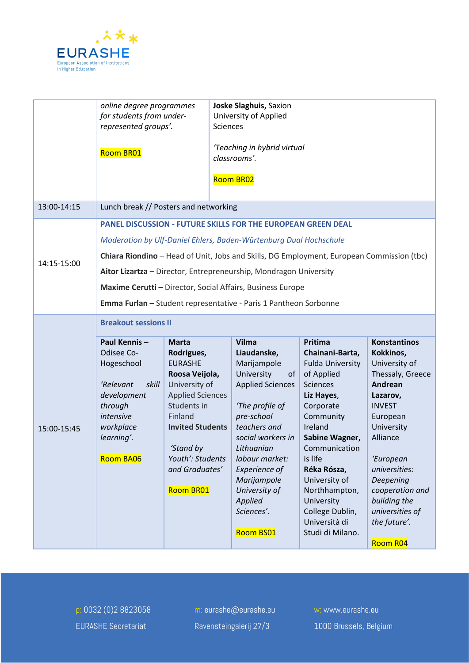

|                             | online degree programmes<br>for students from under-<br>represented groups'.                                                                         |                                                                                                                                                                                                                                 | <b>Sciences</b> | Joske Slaghuis, Saxion<br>University of Applied                                                                                                                                                                                                                                        |                                                                                                                                                                                                                                                                                                                |                                                                                                                                                                                                                                                                                  |
|-----------------------------|------------------------------------------------------------------------------------------------------------------------------------------------------|---------------------------------------------------------------------------------------------------------------------------------------------------------------------------------------------------------------------------------|-----------------|----------------------------------------------------------------------------------------------------------------------------------------------------------------------------------------------------------------------------------------------------------------------------------------|----------------------------------------------------------------------------------------------------------------------------------------------------------------------------------------------------------------------------------------------------------------------------------------------------------------|----------------------------------------------------------------------------------------------------------------------------------------------------------------------------------------------------------------------------------------------------------------------------------|
|                             | <b>Room BR01</b>                                                                                                                                     |                                                                                                                                                                                                                                 |                 | 'Teaching in hybrid virtual<br>classrooms'.                                                                                                                                                                                                                                            |                                                                                                                                                                                                                                                                                                                |                                                                                                                                                                                                                                                                                  |
|                             |                                                                                                                                                      |                                                                                                                                                                                                                                 |                 | <b>Room BR02</b>                                                                                                                                                                                                                                                                       |                                                                                                                                                                                                                                                                                                                |                                                                                                                                                                                                                                                                                  |
| 13:00-14:15                 | Lunch break // Posters and networking                                                                                                                |                                                                                                                                                                                                                                 |                 |                                                                                                                                                                                                                                                                                        |                                                                                                                                                                                                                                                                                                                |                                                                                                                                                                                                                                                                                  |
|                             | <b>PANEL DISCUSSION - FUTURE SKILLS FOR THE EUROPEAN GREEN DEAL</b>                                                                                  |                                                                                                                                                                                                                                 |                 |                                                                                                                                                                                                                                                                                        |                                                                                                                                                                                                                                                                                                                |                                                                                                                                                                                                                                                                                  |
|                             |                                                                                                                                                      |                                                                                                                                                                                                                                 |                 | Moderation by Ulf-Daniel Ehlers, Baden-Würtenburg Dual Hochschule                                                                                                                                                                                                                      |                                                                                                                                                                                                                                                                                                                |                                                                                                                                                                                                                                                                                  |
|                             |                                                                                                                                                      |                                                                                                                                                                                                                                 |                 | Chiara Riondino - Head of Unit, Jobs and Skills, DG Employment, European Commission (tbc)                                                                                                                                                                                              |                                                                                                                                                                                                                                                                                                                |                                                                                                                                                                                                                                                                                  |
| 14:15-15:00                 | Aitor Lizartza - Director, Entrepreneurship, Mondragon University                                                                                    |                                                                                                                                                                                                                                 |                 |                                                                                                                                                                                                                                                                                        |                                                                                                                                                                                                                                                                                                                |                                                                                                                                                                                                                                                                                  |
|                             | Maxime Cerutti - Director, Social Affairs, Business Europe                                                                                           |                                                                                                                                                                                                                                 |                 |                                                                                                                                                                                                                                                                                        |                                                                                                                                                                                                                                                                                                                |                                                                                                                                                                                                                                                                                  |
|                             | Emma Furlan - Student representative - Paris 1 Pantheon Sorbonne                                                                                     |                                                                                                                                                                                                                                 |                 |                                                                                                                                                                                                                                                                                        |                                                                                                                                                                                                                                                                                                                |                                                                                                                                                                                                                                                                                  |
| <b>Breakout sessions II</b> |                                                                                                                                                      |                                                                                                                                                                                                                                 |                 |                                                                                                                                                                                                                                                                                        |                                                                                                                                                                                                                                                                                                                |                                                                                                                                                                                                                                                                                  |
| 15:00-15:45                 | Paul Kennis-<br>Odisee Co-<br>Hogeschool<br>'Relevant<br>skill<br>development<br>through<br>intensive<br>workplace<br>learning'.<br><b>Room BA06</b> | <b>Marta</b><br>Rodrigues,<br><b>EURASHE</b><br>Roosa Veijola,<br>University of<br><b>Applied Sciences</b><br>Students in<br>Finland<br><b>Invited Students</b><br>'Stand by<br>Youth': Students<br>and Graduates'<br>Room BR01 |                 | <b>Vilma</b><br>Liaudanske,<br>Marijampole<br>University<br>of<br><b>Applied Sciences</b><br>'The profile of<br>pre-school<br>teachers and<br>social workers in<br>Lithuanian<br>labour market:<br>Experience of<br>Marijampole<br>University of<br>Applied<br>Sciences'.<br>Room BS01 | Pritima<br>Chainani-Barta,<br><b>Fulda University</b><br>of Applied<br><b>Sciences</b><br>Liz Hayes,<br>Corporate<br>Community<br>Ireland<br>Sabine Wagner,<br>Communication<br>is life<br>Réka Rósza,<br>University of<br>Northhampton,<br>University<br>College Dublin,<br>Università di<br>Studi di Milano. | <b>Konstantinos</b><br>Kokkinos,<br>University of<br>Thessaly, Greece<br>Andrean<br>Lazarov,<br><b>INVEST</b><br>European<br>University<br>Alliance<br>'European<br>universities:<br>Deepening<br>cooperation and<br>building the<br>universities of<br>the future'.<br>Room R04 |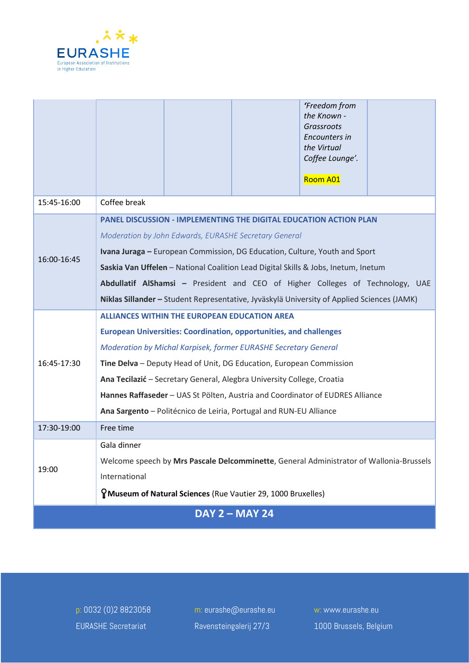

|                       |                                                                                         |                                                                                            |  | 'Freedom from<br>the Known -<br>Grassroots<br>Encounters in |  |  |
|-----------------------|-----------------------------------------------------------------------------------------|--------------------------------------------------------------------------------------------|--|-------------------------------------------------------------|--|--|
|                       |                                                                                         |                                                                                            |  | the Virtual<br>Coffee Lounge'.                              |  |  |
|                       |                                                                                         |                                                                                            |  | Room A01                                                    |  |  |
| 15:45-16:00           | Coffee break                                                                            |                                                                                            |  |                                                             |  |  |
|                       |                                                                                         | PANEL DISCUSSION - IMPLEMENTING THE DIGITAL EDUCATION ACTION PLAN                          |  |                                                             |  |  |
|                       |                                                                                         | Moderation by John Edwards, EURASHE Secretary General                                      |  |                                                             |  |  |
| 16:00-16:45           |                                                                                         | Ivana Juraga - European Commission, DG Education, Culture, Youth and Sport                 |  |                                                             |  |  |
|                       | Saskia Van Uffelen - National Coalition Lead Digital Skills & Jobs, Inetum, Inetum      |                                                                                            |  |                                                             |  |  |
|                       | Abdullatif AlShamsi - President and CEO of Higher Colleges of Technology, UAE           |                                                                                            |  |                                                             |  |  |
|                       |                                                                                         | Niklas Sillander - Student Representative, Jyväskylä University of Applied Sciences (JAMK) |  |                                                             |  |  |
|                       |                                                                                         | <b>ALLIANCES WITHIN THE EUROPEAN EDUCATION AREA</b>                                        |  |                                                             |  |  |
|                       | <b>European Universities: Coordination, opportunities, and challenges</b>               |                                                                                            |  |                                                             |  |  |
|                       | Moderation by Michal Karpisek, former EURASHE Secretary General                         |                                                                                            |  |                                                             |  |  |
| 16:45-17:30           | Tine Delva - Deputy Head of Unit, DG Education, European Commission                     |                                                                                            |  |                                                             |  |  |
|                       | Ana Tecilazić - Secretary General, Alegbra University College, Croatia                  |                                                                                            |  |                                                             |  |  |
|                       | Hannes Raffaseder - UAS St Pölten, Austria and Coordinator of EUDRES Alliance           |                                                                                            |  |                                                             |  |  |
|                       | Ana Sargento - Politécnico de Leiria, Portugal and RUN-EU Alliance                      |                                                                                            |  |                                                             |  |  |
| 17:30-19:00           | Free time                                                                               |                                                                                            |  |                                                             |  |  |
|                       | Gala dinner                                                                             |                                                                                            |  |                                                             |  |  |
| 19:00                 | Welcome speech by Mrs Pascale Delcomminette, General Administrator of Wallonia-Brussels |                                                                                            |  |                                                             |  |  |
|                       | International                                                                           |                                                                                            |  |                                                             |  |  |
|                       | <b>Museum of Natural Sciences</b> (Rue Vautier 29, 1000 Bruxelles)                      |                                                                                            |  |                                                             |  |  |
| <b>DAY 2 - MAY 24</b> |                                                                                         |                                                                                            |  |                                                             |  |  |

p: 0032 (0)2 8823058 EURASHE Secretariat

m: eurashe@eurashe.eu Ravensteingalerij 27/3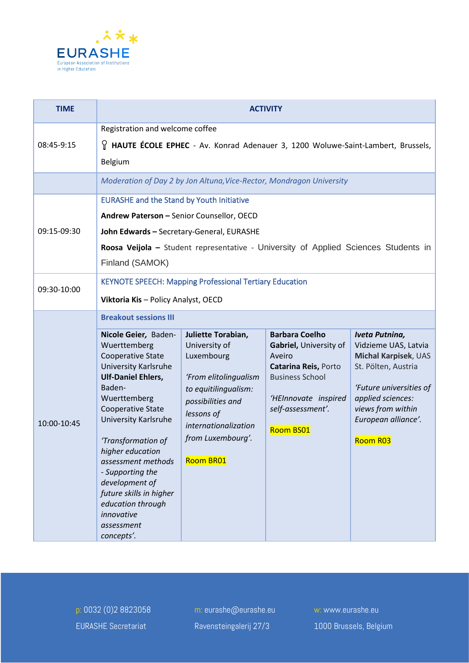

| <b>TIME</b> | <b>ACTIVITY</b>                                                                                                                                                                                                                                                                                                                                                                                                                     |                                                                                                                                                                                                 |                                                                                                                                                                              |                                                                                                                                                                                               |
|-------------|-------------------------------------------------------------------------------------------------------------------------------------------------------------------------------------------------------------------------------------------------------------------------------------------------------------------------------------------------------------------------------------------------------------------------------------|-------------------------------------------------------------------------------------------------------------------------------------------------------------------------------------------------|------------------------------------------------------------------------------------------------------------------------------------------------------------------------------|-----------------------------------------------------------------------------------------------------------------------------------------------------------------------------------------------|
| 08:45-9:15  | Registration and welcome coffee<br>HAUTE ÉCOLE EPHEC - Av. Konrad Adenauer 3, 1200 Woluwe-Saint-Lambert, Brussels,<br>P.<br>Belgium                                                                                                                                                                                                                                                                                                 |                                                                                                                                                                                                 |                                                                                                                                                                              |                                                                                                                                                                                               |
|             | Moderation of Day 2 by Jon Altuna, Vice-Rector, Mondragon University                                                                                                                                                                                                                                                                                                                                                                |                                                                                                                                                                                                 |                                                                                                                                                                              |                                                                                                                                                                                               |
| 09:15-09:30 | <b>EURASHE and the Stand by Youth Initiative</b><br>Andrew Paterson - Senior Counsellor, OECD<br>John Edwards - Secretary-General, EURASHE<br>Roosa Veijola - Student representative - University of Applied Sciences Students in<br>Finland (SAMOK)                                                                                                                                                                                |                                                                                                                                                                                                 |                                                                                                                                                                              |                                                                                                                                                                                               |
| 09:30-10:00 | <b>KEYNOTE SPEECH: Mapping Professional Tertiary Education</b><br>Viktoria Kis - Policy Analyst, OECD                                                                                                                                                                                                                                                                                                                               |                                                                                                                                                                                                 |                                                                                                                                                                              |                                                                                                                                                                                               |
| 10:00-10:45 | <b>Breakout sessions III</b><br>Nicole Geier, Baden-<br>Wuerttemberg<br>Cooperative State<br><b>University Karlsruhe</b><br><b>Ulf-Daniel Ehlers,</b><br>Baden-<br>Wuerttemberg<br>Cooperative State<br><b>University Karlsruhe</b><br>'Transformation of<br>higher education<br>assessment methods<br>- Supporting the<br>development of<br>future skills in higher<br>education through<br>innovative<br>assessment<br>concepts'. | Juliette Torabian,<br>University of<br>Luxembourg<br>'From elitolingualism<br>to equitilingualism:<br>possibilities and<br>lessons of<br>internationalization<br>from Luxembourg'.<br>Room BR01 | <b>Barbara Coelho</b><br>Gabriel, University of<br>Aveiro<br>Catarina Reis, Porto<br><b>Business School</b><br>'HEInnovate inspired<br>self-assessment'.<br><b>Room BS01</b> | Iveta Putnina,<br>Vidzieme UAS, Latvia<br>Michal Karpisek, UAS<br>St. Pölten, Austria<br>'Future universities of<br>applied sciences:<br>views from within<br>European alliance'.<br>Room R03 |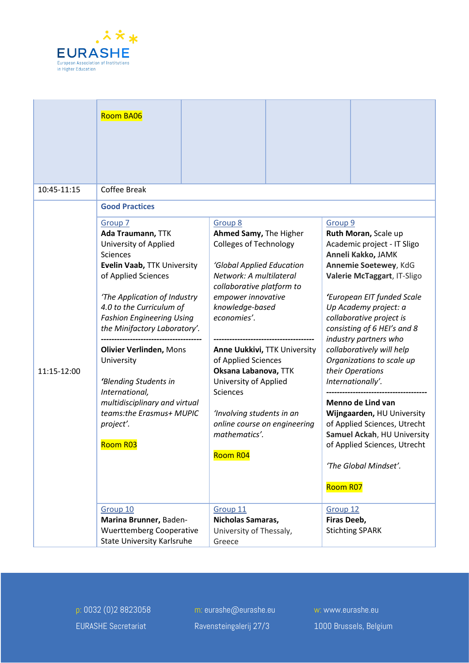

|             | <b>Room BA06</b>                                                                                                                                                                                                                                                                                                                 |                                                                                                                                                                                                                                                                                                                         |                                                                                                                                                                                                                                                                                                                                                                                            |
|-------------|----------------------------------------------------------------------------------------------------------------------------------------------------------------------------------------------------------------------------------------------------------------------------------------------------------------------------------|-------------------------------------------------------------------------------------------------------------------------------------------------------------------------------------------------------------------------------------------------------------------------------------------------------------------------|--------------------------------------------------------------------------------------------------------------------------------------------------------------------------------------------------------------------------------------------------------------------------------------------------------------------------------------------------------------------------------------------|
|             |                                                                                                                                                                                                                                                                                                                                  |                                                                                                                                                                                                                                                                                                                         |                                                                                                                                                                                                                                                                                                                                                                                            |
| 10:45-11:15 | <b>Coffee Break</b>                                                                                                                                                                                                                                                                                                              |                                                                                                                                                                                                                                                                                                                         |                                                                                                                                                                                                                                                                                                                                                                                            |
|             | <b>Good Practices</b>                                                                                                                                                                                                                                                                                                            |                                                                                                                                                                                                                                                                                                                         |                                                                                                                                                                                                                                                                                                                                                                                            |
| 11:15-12:00 | Group 7<br>Ada Traumann, TTK<br>University of Applied<br><b>Sciences</b><br>Evelin Vaab, TTK University<br>of Applied Sciences<br>'The Application of Industry<br>4.0 to the Curriculum of<br><b>Fashion Engineering Using</b><br>the Minifactory Laboratory'.<br>Olivier Verlinden, Mons<br>University<br>'Blending Students in | Group 8<br>Ahmed Samy, The Higher<br><b>Colleges of Technology</b><br>'Global Applied Education<br>Network: A multilateral<br>collaborative platform to<br>empower innovative<br>knowledge-based<br>economies'.<br>Anne Uukkivi, TTK University<br>of Applied Sciences<br>Oksana Labanova, TTK<br>University of Applied | Group 9<br>Ruth Moran, Scale up<br>Academic project - IT Sligo<br>Anneli Kakko, JAMK<br>Annemie Soetewey, KdG<br>Valerie McTaggart, IT-Sligo<br>'European EIT funded Scale<br>Up Academy project: a<br>collaborative project is<br>consisting of 6 HEI's and 8<br>industry partners who<br>collaboratively will help<br>Organizations to scale up<br>their Operations<br>Internationally'. |
|             | International,<br>multidisciplinary and virtual<br>teams: the Erasmus+ MUPIC<br>project'.<br><b>Room R03</b><br>Group 10<br>Marina Brunner, Baden-<br><b>Wuerttemberg Cooperative</b><br><b>State University Karlsruhe</b>                                                                                                       | Sciences<br>'Involving students in an<br>online course on engineering<br>mathematics'.<br>Room R04<br>Group 11<br>Nicholas Samaras,<br>University of Thessaly,<br>Greece                                                                                                                                                | Menno de Lind van<br>Wijngaarden, HU University<br>of Applied Sciences, Utrecht<br>Samuel Ackah, HU University<br>of Applied Sciences, Utrecht<br>'The Global Mindset'.<br>Room R07<br>Group 12<br>Firas Deeb,<br><b>Stichting SPARK</b>                                                                                                                                                   |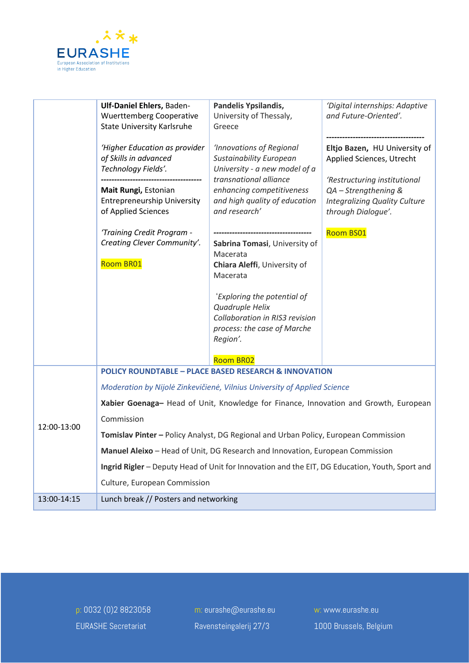

|             | <b>Ulf-Daniel Ehlers, Baden-</b>                                                               | Pandelis Ypsilandis,                                             | 'Digital internships: Adaptive                       |  |  |
|-------------|------------------------------------------------------------------------------------------------|------------------------------------------------------------------|------------------------------------------------------|--|--|
|             | <b>Wuerttemberg Cooperative</b><br><b>State University Karlsruhe</b>                           | University of Thessaly,<br>Greece                                | and Future-Oriented'.                                |  |  |
|             |                                                                                                |                                                                  |                                                      |  |  |
|             | 'Higher Education as provider                                                                  | 'Innovations of Regional                                         | Eltjo Bazen, HU University of                        |  |  |
|             | of Skills in advanced                                                                          | Sustainability European                                          | Applied Sciences, Utrecht                            |  |  |
|             | Technology Fields'.                                                                            | University - a new model of a                                    |                                                      |  |  |
|             | Mait Rungi, Estonian                                                                           | transnational alliance<br>enhancing competitiveness              | 'Restructuring institutional<br>QA - Strengthening & |  |  |
|             | <b>Entrepreneurship University</b>                                                             | and high quality of education                                    | <b>Integralizing Quality Culture</b>                 |  |  |
|             | of Applied Sciences                                                                            | and research'                                                    | through Dialogue'.                                   |  |  |
|             |                                                                                                |                                                                  |                                                      |  |  |
|             | 'Training Credit Program -<br>Creating Clever Community'.                                      | Sabrina Tomasi, University of                                    | Room BS01                                            |  |  |
|             |                                                                                                | Macerata                                                         |                                                      |  |  |
|             | Room BR01                                                                                      | Chiara Aleffi, University of                                     |                                                      |  |  |
|             |                                                                                                | Macerata                                                         |                                                      |  |  |
|             |                                                                                                |                                                                  |                                                      |  |  |
|             |                                                                                                | 'Exploring the potential of<br>Quadruple Helix                   |                                                      |  |  |
|             |                                                                                                | Collaboration in RIS3 revision                                   |                                                      |  |  |
|             |                                                                                                | process: the case of Marche                                      |                                                      |  |  |
|             |                                                                                                | Region'.                                                         |                                                      |  |  |
|             |                                                                                                | <b>Room BR02</b>                                                 |                                                      |  |  |
|             |                                                                                                | <b>POLICY ROUNDTABLE - PLACE BASED RESEARCH &amp; INNOVATION</b> |                                                      |  |  |
|             | Moderation by Nijolė Zinkevičienė, Vilnius University of Applied Science                       |                                                                  |                                                      |  |  |
|             | Xabier Goenaga- Head of Unit, Knowledge for Finance, Innovation and Growth, European           |                                                                  |                                                      |  |  |
| 12:00-13:00 | Commission                                                                                     |                                                                  |                                                      |  |  |
|             | Tomislav Pinter - Policy Analyst, DG Regional and Urban Policy, European Commission            |                                                                  |                                                      |  |  |
|             | Manuel Aleixo - Head of Unit, DG Research and Innovation, European Commission                  |                                                                  |                                                      |  |  |
|             | Ingrid Rigler - Deputy Head of Unit for Innovation and the EIT, DG Education, Youth, Sport and |                                                                  |                                                      |  |  |
|             | Culture, European Commission                                                                   |                                                                  |                                                      |  |  |
| 13:00-14:15 | Lunch break // Posters and networking                                                          |                                                                  |                                                      |  |  |

p: 0032 (0)2 8823058 EURASHE Secretariat

m: eurashe@eurashe.eu Ravensteingalerij 27/3